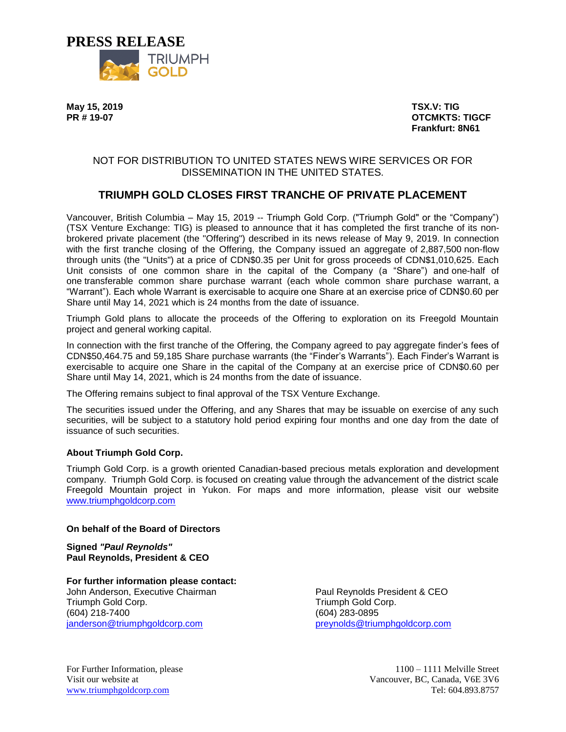

**May 15, 2019 TSX.V: TIG**

**PR # 19-07 OTCMKTS: TIGCF Frankfurt: 8N61**

## NOT FOR DISTRIBUTION TO UNITED STATES NEWS WIRE SERVICES OR FOR DISSEMINATION IN THE UNITED STATES.

# **TRIUMPH GOLD CLOSES FIRST TRANCHE OF PRIVATE PLACEMENT**

Vancouver, British Columbia – May 15, 2019 -- Triumph Gold Corp. ("Triumph Gold" or the "Company") (TSX Venture Exchange: TIG) is pleased to announce that it has completed the first tranche of its nonbrokered private placement (the "Offering") described in its news release of May 9, 2019. In connection with the first tranche closing of the Offering, the Company issued an aggregate of 2,887,500 non-flow through units (the "Units") at a price of CDN\$0.35 per Unit for gross proceeds of CDN\$1,010,625. Each Unit consists of one common share in the capital of the Company (a "Share") and one-half of one transferable common share purchase warrant (each whole common share purchase warrant, a "Warrant"). Each whole Warrant is exercisable to acquire one Share at an exercise price of CDN\$0.60 per Share until May 14, 2021 which is 24 months from the date of issuance.

Triumph Gold plans to allocate the proceeds of the Offering to exploration on its Freegold Mountain project and general working capital.

In connection with the first tranche of the Offering, the Company agreed to pay aggregate finder's fees of CDN\$50,464.75 and 59,185 Share purchase warrants (the "Finder's Warrants"). Each Finder's Warrant is exercisable to acquire one Share in the capital of the Company at an exercise price of CDN\$0.60 per Share until May 14, 2021, which is 24 months from the date of issuance.

The Offering remains subject to final approval of the TSX Venture Exchange.

The securities issued under the Offering, and any Shares that may be issuable on exercise of any such securities, will be subject to a statutory hold period expiring four months and one day from the date of issuance of such securities.

### **About Triumph Gold Corp.**

Triumph Gold Corp. is a growth oriented Canadian-based precious metals exploration and development company. Triumph Gold Corp. is focused on creating value through the advancement of the district scale Freegold Mountain project in Yukon. For maps and more information, please visit our website [www.triumphgoldcorp.com](http://www.triumphgoldcorp.com/)

### **On behalf of the Board of Directors**

**Signed** *"Paul Reynolds"* **Paul Reynolds, President & CEO**

**For further information please contact:** John Anderson, Executive Chairman Triumph Gold Corp. (604) 218-7400 [janderson@triumphgoldcorp.com](mailto:janderson@triumphgoldcorp.com)

Paul Reynolds President & CEO Triumph Gold Corp. (604) 283-0895 [preynolds@triumphgoldcorp.com](mailto:preynolds@triumphgoldcorp.com)

For Further Information, please 1100 – 1111 Melville Street Visit our website at Vancouver, BC, Canada, V6E 3V6 [www.triumphgoldcorp.com](http://www.triumphgoldcorp.com/) Tel: 604.893.8757